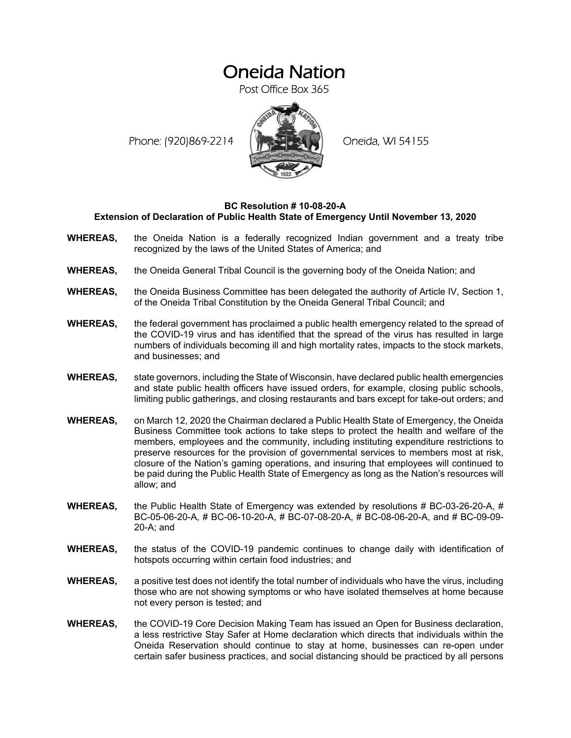## Oneida Nation

Post Office Box 365

Phone: (920)869-2214 (XXXXXXX) Oneida, WI 54155



## **BC Resolution # 10-08-20-A Extension of Declaration of Public Health State of Emergency Until November 13, 2020**

- **WHEREAS,** the Oneida Nation is a federally recognized Indian government and a treaty tribe recognized by the laws of the United States of America; and
- **WHEREAS,** the Oneida General Tribal Council is the governing body of the Oneida Nation; and
- **WHEREAS,** the Oneida Business Committee has been delegated the authority of Article IV, Section 1, of the Oneida Tribal Constitution by the Oneida General Tribal Council; and
- **WHEREAS,** the federal government has proclaimed a public health emergency related to the spread of the COVID-19 virus and has identified that the spread of the virus has resulted in large numbers of individuals becoming ill and high mortality rates, impacts to the stock markets, and businesses; and
- **WHEREAS,** state governors, including the State of Wisconsin, have declared public health emergencies and state public health officers have issued orders, for example, closing public schools, limiting public gatherings, and closing restaurants and bars except for take-out orders; and
- **WHEREAS,** on March 12, 2020 the Chairman declared a Public Health State of Emergency, the Oneida Business Committee took actions to take steps to protect the health and welfare of the members, employees and the community, including instituting expenditure restrictions to preserve resources for the provision of governmental services to members most at risk, closure of the Nation's gaming operations, and insuring that employees will continued to be paid during the Public Health State of Emergency as long as the Nation's resources will allow; and
- **WHEREAS,** the Public Health State of Emergency was extended by resolutions # BC-03-26-20-A, # BC-05-06-20-A, # BC-06-10-20-A, # BC-07-08-20-A, # BC-08-06-20-A, and # BC-09-09- 20-A; and
- **WHEREAS,** the status of the COVID-19 pandemic continues to change daily with identification of hotspots occurring within certain food industries; and
- **WHEREAS,** a positive test does not identify the total number of individuals who have the virus, including those who are not showing symptoms or who have isolated themselves at home because not every person is tested; and
- **WHEREAS,** the COVID-19 Core Decision Making Team has issued an Open for Business declaration, a less restrictive Stay Safer at Home declaration which directs that individuals within the Oneida Reservation should continue to stay at home, businesses can re-open under certain safer business practices, and social distancing should be practiced by all persons